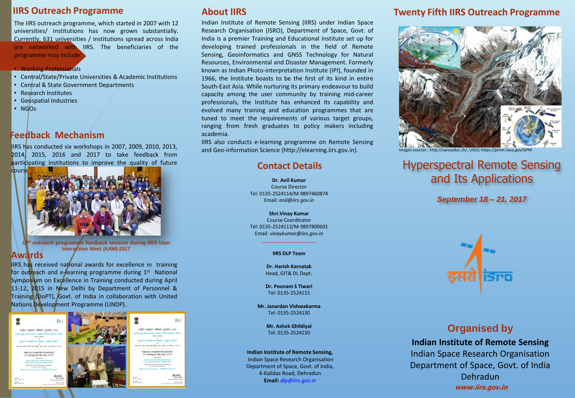#### **IIRS Outreach Programme**

The IIRS outreach programme, which started in 2007 with 12 universities/ institutions has now grown substantially. Currently, 631 universities / institutions spread across India are networked with IIRS. The beneficiaries of the programme may include:

#### • Working Professionals

- Central/State/Private Universities & Academic Institutions
- Central & State Government Departments
- Research Institutes
- Geospatial Industries
- NGOs

### **Feedback Mechanism**

IIRS has conducted six workshops in 2007, 2009, 2010, 2013, 2014, 2015, 2016 and 2017 to take feedback from participating institutions to improve the quality of future



*<sup>&</sup>lt;u>Outreach programme feedback session during IIRS User*</u> **Interaction Meet (IUIM)-2017**

#### **Awards**

IIRS has received national awards for excellence in training for outreach and e-learning programme during 1st National Symposium on Excellence in Training conducted during April 11-12, 2015 in New Delhi by Department of Personnel & Training (DoPT), Govt. of India in collaboration with United Nations Development Programme (UNDP).



# KÆT करीम उत्सवस्था प्रशिक्षण प्रस्थान २०१६

#### **About IIRS**

Indian Institute of Remote Sensing (IIRS) under Indian Space Research Organisation (ISRO), Department of Space, Govt. of India is a premier Training and Educational Institute set up for developing trained professionals in the field of Remote Sensing, Geoinformatics and GNSS Technology for Natural Resources, Environmental and Disaster Management. Formerly known as Indian Photo-interpretation Institute (IPI), founded in 1966, the Institute boasts to be the first of its kind in entire South-East Asia. While nurturing its primary endeavour to build capacity among the user community by training mid-career professionals, the Institute has enhanced its capability and evolved many training and education programmes that are tuned to meet the requirements of various target groups, ranging from fresh graduates to policy makers including academia.

IIRS also conducts e-learning programme on Remote Sensing and Geo-information Science (http://elearning.iirs.gov.in).

### **Contact Details**

**Dr. Anil Kumar** Course Director Tel: 0135-2524114/M-9897460874 Email: *anil@iirs.gov.in*

**Shri.Vinay Kumar** Course Coordinator Tel: 0135-2524112/M-9897800601 Email: *vinaykumar@iirs.gov.in*

> $\_$ **IIRS DLP Team**

**Dr. Harish Karnatak** Head, GIT& DL Dept.

**Dr. Poonam S Tiwari** Tel: 0135-2524115

**Mr. Janardan Vishwakarma** Tel: 0135-2524130

> **Mr. Ashok Ghildiyal** Tel: 0135-2524130

#### **Indian Institute of Remote Sensing,**

Indian Space Research Organisation Department of Space, Govt. of India, 4-Kalidas Road, Dehradun **Email:** *dlp@iirs.gov.in*

# **Twenty Fifth IIRS Outreach Programme**



Images sources : http://swisseduc.ch/; USGS; https://pmm.nasa.gov/

# Hyperspectral Remote Sensing and Its Applications

*September 18 – 21, 2017*



# **Organised by**

**Indian Institute of Remote Sensing** Indian Space Research Organisation Department of Space, Govt. of India Dehradun **www.iirs.gov.in**